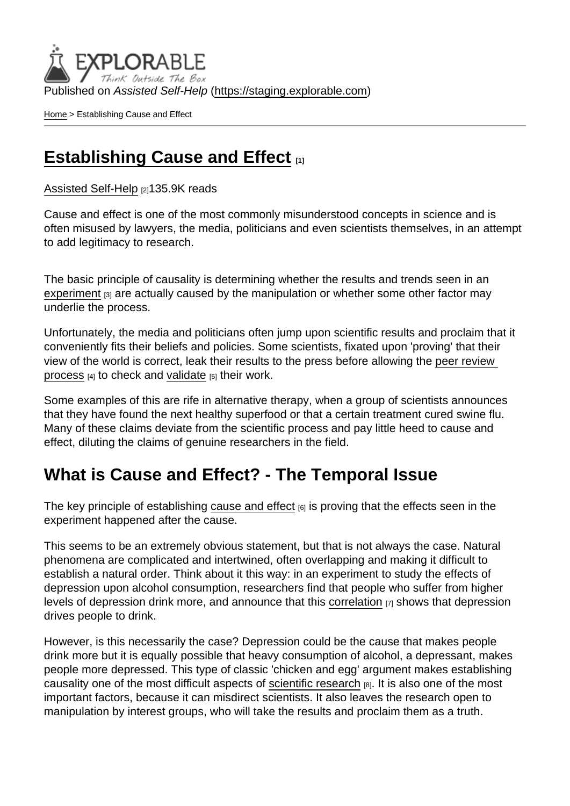Published on Assisted Self-Help [\(https://staging.explorable.com](https://staging.explorable.com))

[Home](https://staging.explorable.com/en) > Establishing Cause and Effect

#### [Establishing Cause and Effect](https://staging.explorable.com/en/cause-and-effect)

[Assisted Self-Help](https://staging.explorable.com/en) [2]135.9K reads

Cause and effect is one of the most commonly misunderstood concepts in science and is often misused by lawyers, the media, politicians and even scientists themselves, in an attempt to add legitimacy to research.

The basic principle of causality is determining whether the results and trends seen in an [experiment](https://staging.explorable.com/conducting-an-experiment) [3] are actually caused by the manipulation or whether some other factor may underlie the process.

Unfortunately, the media and politicians often jump upon scientific results and proclaim that it conveniently fits their beliefs and policies. Some scientists, fixated upon 'proving' that their view of the world is correct, leak their results to the press before allowing the [peer review](https://staging.explorable.com/peer-review-process)  [process](https://staging.explorable.com/peer-review-process) [4] to check and [validate](https://staging.explorable.com/types-of-validity) [5] their work.

Some examples of this are rife in alternative therapy, when a group of scientists announces that they have found the next healthy superfood or that a certain treatment cured swine flu. Many of these claims deviate from the scientific process and pay little heed to cause and effect, diluting the claims of genuine researchers in the field.

#### What is Cause and Effect? - The Temporal Issue

The key principle of establishing [cause and effect](http://www.socialresearchmethods.net/kb/causeeff.php)  $_{[6]}$  is proving that the effects seen in the experiment happened after the cause.

This seems to be an extremely obvious statement, but that is not always the case. Natural phenomena are complicated and intertwined, often overlapping and making it difficult to establish a natural order. Think about it this way: in an experiment to study the effects of depression upon alcohol consumption, researchers find that people who suffer from higher levels of depression drink more, and announce that this [correlation](https://staging.explorable.com/statistical-correlation)  $\overline{p}$  shows that depression drives people to drink.

However, is this necessarily the case? Depression could be the cause that makes people drink more but it is equally possible that heavy consumption of alcohol, a depressant, makes people more depressed. This type of classic 'chicken and egg' argument makes establishing causality one of the most difficult aspects of [scientific research](https://staging.explorable.com/what-is-research) [8]. It is also one of the most important factors, because it can misdirect scientists. It also leaves the research open to manipulation by interest groups, who will take the results and proclaim them as a truth.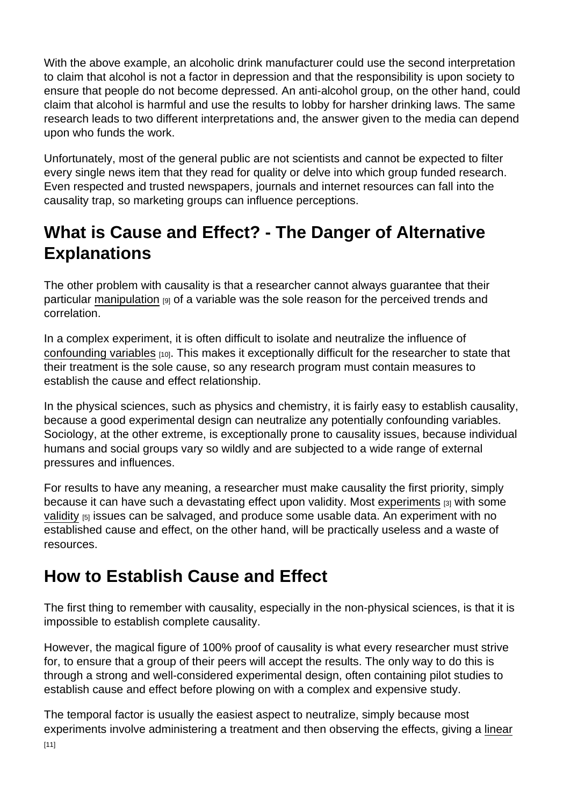With the above example, an alcoholic drink manufacturer could use the second interpretation to claim that alcohol is not a factor in depression and that the responsibility is upon society to ensure that people do not become depressed. An anti-alcohol group, on the other hand, could claim that alcohol is harmful and use the results to lobby for harsher drinking laws. The same research leads to two different interpretations and, the answer given to the media can depend upon who funds the work.

Unfortunately, most of the general public are not scientists and cannot be expected to filter every single news item that they read for quality or delve into which group funded research. Even respected and trusted newspapers, journals and internet resources can fall into the causality trap, so marketing groups can influence perceptions.

# What is Cause and Effect? - The Danger of Alternative **Explanations**

The other problem with causality is that a researcher cannot always guarantee that their particular [manipulation](https://staging.explorable.com/independent-variable) [9] of a variable was the sole reason for the perceived trends and correlation.

In a complex experiment, it is often difficult to isolate and neutralize the influence of [confounding variables](https://staging.explorable.com/confounding-variables) [10]. This makes it exceptionally difficult for the researcher to state that their treatment is the sole cause, so any research program must contain measures to establish the cause and effect relationship.

In the physical sciences, such as physics and chemistry, it is fairly easy to establish causality, because a good experimental design can neutralize any potentially confounding variables. Sociology, at the other extreme, is exceptionally prone to causality issues, because individual humans and social groups vary so wildly and are subjected to a wide range of external pressures and influences.

For results to have any meaning, a researcher must make causality the first priority, simply because it can have such a devastating effect upon validity. Most [experiments](https://staging.explorable.com/conducting-an-experiment) [3] with some [validity](https://staging.explorable.com/types-of-validity) [5] issues can be salvaged, and produce some usable data. An experiment with no established cause and effect, on the other hand, will be practically useless and a waste of resources.

## How to Establish Cause and Effect

The first thing to remember with causality, especially in the non-physical sciences, is that it is impossible to establish complete causality.

However, the magical figure of 100% proof of causality is what every researcher must strive for, to ensure that a group of their peers will accept the results. The only way to do this is through a strong and well-considered experimental design, often containing pilot studies to establish cause and effect before plowing on with a complex and expensive study.

The temporal factor is usually the easiest aspect to neutralize, simply because most experiments involve administering a treatment and then observing the effects, giving a [linear](https://staging.explorable.com/linear-relationship)  $[11]$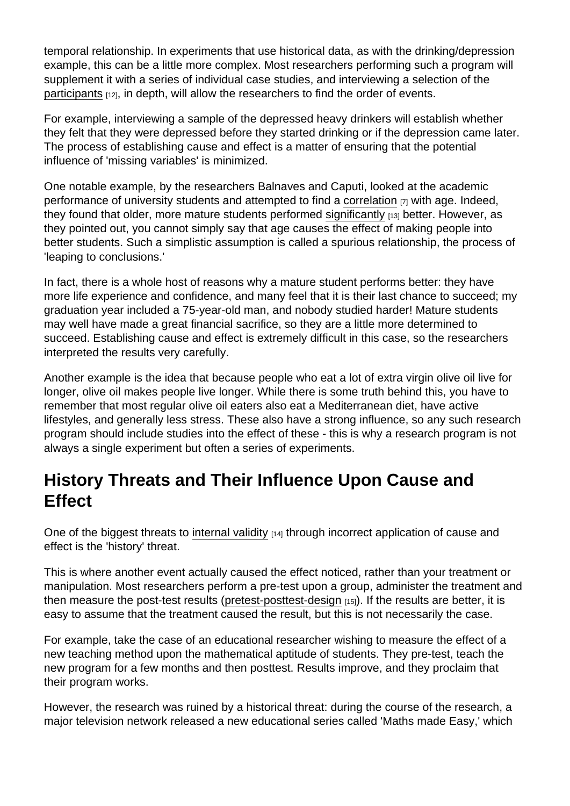temporal relationship. In experiments that use historical data, as with the drinking/depression example, this can be a little more complex. Most researchers performing such a program will supplement it with a series of individual case studies, and interviewing a selection of the [participants](https://staging.explorable.com/social-science-subjects) [12], in depth, will allow the researchers to find the order of events.

For example, interviewing a sample of the depressed heavy drinkers will establish whether they felt that they were depressed before they started drinking or if the depression came later. The process of establishing cause and effect is a matter of ensuring that the potential influence of 'missing variables' is minimized.

One notable example, by the researchers Balnaves and Caputi, looked at the academic performance of university students and attempted to find a [correlation](https://staging.explorable.com/statistical-correlation)  $\overline{r}$  with age. Indeed, they found that older, more mature students performed [significantly](https://staging.explorable.com/significance-test) [13] better. However, as they pointed out, you cannot simply say that age causes the effect of making people into better students. Such a simplistic assumption is called a spurious relationship, the process of 'leaping to conclusions.'

In fact, there is a whole host of reasons why a mature student performs better: they have more life experience and confidence, and many feel that it is their last chance to succeed; my graduation year included a 75-year-old man, and nobody studied harder! Mature students may well have made a great financial sacrifice, so they are a little more determined to succeed. Establishing cause and effect is extremely difficult in this case, so the researchers interpreted the results very carefully.

Another example is the idea that because people who eat a lot of extra virgin olive oil live for longer, olive oil makes people live longer. While there is some truth behind this, you have to remember that most regular olive oil eaters also eat a Mediterranean diet, have active lifestyles, and generally less stress. These also have a strong influence, so any such research program should include studies into the effect of these - this is why a research program is not always a single experiment but often a series of experiments.

### History Threats and Their Influence Upon Cause and **Effect**

One of the biggest threats to [internal validity](https://staging.explorable.com/internal-validity) [14] through incorrect application of cause and effect is the 'history' threat.

This is where another event actually caused the effect noticed, rather than your treatment or manipulation. Most researchers perform a pre-test upon a group, administer the treatment and then measure the post-test results ([pretest-posttest-design](https://staging.explorable.com/pretest-posttest-designs) [15]). If the results are better, it is easy to assume that the treatment caused the result, but this is not necessarily the case.

For example, take the case of an educational researcher wishing to measure the effect of a new teaching method upon the mathematical aptitude of students. They pre-test, teach the new program for a few months and then posttest. Results improve, and they proclaim that their program works.

However, the research was ruined by a historical threat: during the course of the research, a major television network released a new educational series called 'Maths made Easy,' which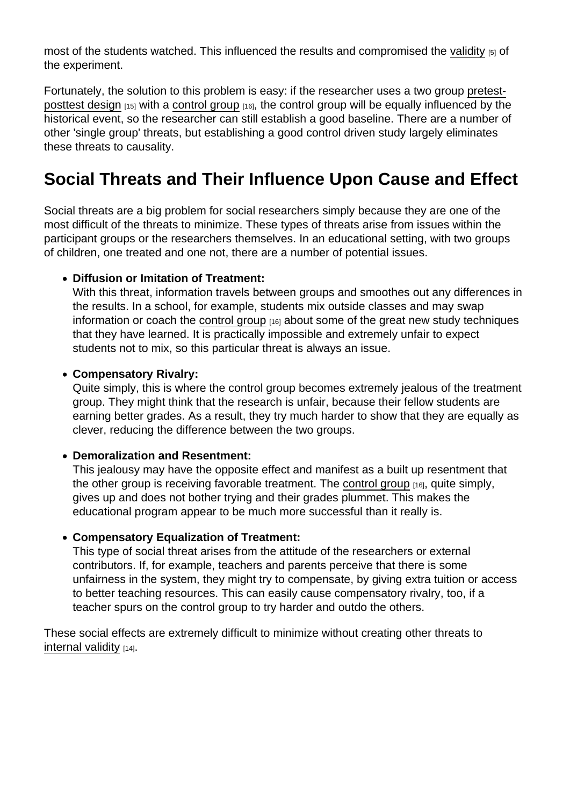most of the students watched. This influenced the results and compromised the [validity](https://staging.explorable.com/types-of-validity) [5] of the experiment.

Fortunately, the solution to this problem is easy: if the researcher uses a two group [pretest](https://staging.explorable.com/pretest-posttest-designs)[posttest design](https://staging.explorable.com/pretest-posttest-designs) [15] with a [control group](https://staging.explorable.com/scientific-control-group) [16], the control group will be equally influenced by the historical event, so the researcher can still establish a good baseline. There are a number of other 'single group' threats, but establishing a good control driven study largely eliminates these threats to causality.

## Social Threats and Their Influence Upon Cause and Effect

Social threats are a big problem for social researchers simply because they are one of the most difficult of the threats to minimize. These types of threats arise from issues within the participant groups or the researchers themselves. In an educational setting, with two groups of children, one treated and one not, there are a number of potential issues.

• Diffusion or Imitation of Treatment:

With this threat, information travels between groups and smoothes out any differences in the results. In a school, for example, students mix outside classes and may swap information or coach the [control group](https://staging.explorable.com/scientific-control-group)  $[16]$  about some of the great new study techniques that they have learned. It is practically impossible and extremely unfair to expect students not to mix, so this particular threat is always an issue.

Compensatory Rivalry:

Quite simply, this is where the control group becomes extremely jealous of the treatment group. They might think that the research is unfair, because their fellow students are earning better grades. As a result, they try much harder to show that they are equally as clever, reducing the difference between the two groups.

Demoralization and Resentment:

This jealousy may have the opposite effect and manifest as a built up resentment that the other group is receiving favorable treatment. The [control group](https://staging.explorable.com/scientific-control-group) [16], quite simply, gives up and does not bother trying and their grades plummet. This makes the educational program appear to be much more successful than it really is.

Compensatory Equalization of Treatment:

This type of social threat arises from the attitude of the researchers or external contributors. If, for example, teachers and parents perceive that there is some unfairness in the system, they might try to compensate, by giving extra tuition or access to better teaching resources. This can easily cause compensatory rivalry, too, if a teacher spurs on the control group to try harder and outdo the others.

These social effects are extremely difficult to minimize without creating other threats to [internal validity](https://staging.explorable.com/internal-validity) [14].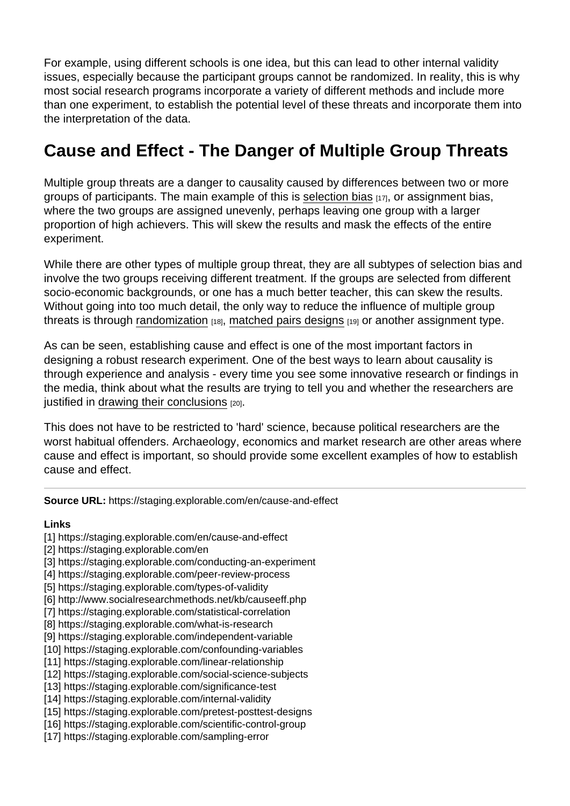For example, using different schools is one idea, but this can lead to other internal validity issues, especially because the participant groups cannot be randomized. In reality, this is why most social research programs incorporate a variety of different methods and include more than one experiment, to establish the potential level of these threats and incorporate them into the interpretation of the data.

# Cause and Effect - The Danger of Multiple Group Threats

Multiple group threats are a danger to causality caused by differences between two or more groups of participants. The main example of this is [selection bias](https://staging.explorable.com/sampling-error) [17], or assignment bias, where the two groups are assigned unevenly, perhaps leaving one group with a larger proportion of high achievers. This will skew the results and mask the effects of the entire experiment.

While there are other types of multiple group threat, they are all subtypes of selection bias and involve the two groups receiving different treatment. If the groups are selected from different socio-economic backgrounds, or one has a much better teacher, this can skew the results. Without going into too much detail, the only way to reduce the influence of multiple group threats is through [randomization](https://staging.explorable.com/randomization)  $[18]$ , [matched pairs designs](https://staging.explorable.com/matched-subjects-design)  $[19]$  or another assignment type.

As can be seen, establishing cause and effect is one of the most important factors in designing a robust research experiment. One of the best ways to learn about causality is through experience and analysis - every time you see some innovative research or findings in the media, think about what the results are trying to tell you and whether the researchers are justified in [drawing their conclusions](https://staging.explorable.com/drawing-conclusions) [20].

This does not have to be restricted to 'hard' science, because political researchers are the worst habitual offenders. Archaeology, economics and market research are other areas where cause and effect is important, so should provide some excellent examples of how to establish cause and effect.

Source URL: https://staging.explorable.com/en/cause-and-effect

Links

- [1] https://staging.explorable.com/en/cause-and-effect
- [2] https://staging.explorable.com/en
- [3] https://staging.explorable.com/conducting-an-experiment
- [4] https://staging.explorable.com/peer-review-process
- [5] https://staging.explorable.com/types-of-validity
- [6] http://www.socialresearchmethods.net/kb/causeeff.php
- [7] https://staging.explorable.com/statistical-correlation
- [8] https://staging.explorable.com/what-is-research
- [9] https://staging.explorable.com/independent-variable
- [10] https://staging.explorable.com/confounding-variables
- [11] https://staging.explorable.com/linear-relationship
- [12] https://staging.explorable.com/social-science-subjects
- [13] https://staging.explorable.com/significance-test
- [14] https://staging.explorable.com/internal-validity
- [15] https://staging.explorable.com/pretest-posttest-designs
- [16] https://staging.explorable.com/scientific-control-group
- [17] https://staging.explorable.com/sampling-error